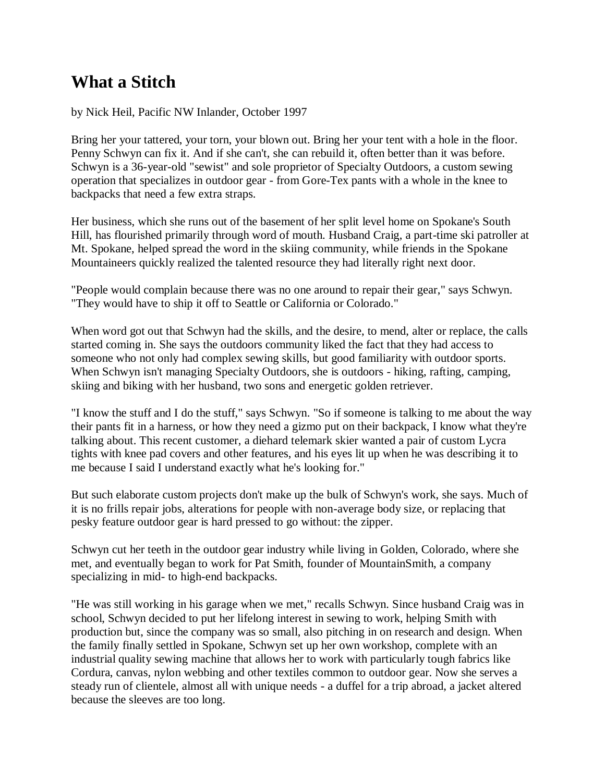## **What a Stitch**

by Nick Heil, Pacific NW Inlander, October 1997

Bring her your tattered, your torn, your blown out. Bring her your tent with a hole in the floor. Penny Schwyn can fix it. And if she can't, she can rebuild it, often better than it was before. Schwyn is a 36-year-old "sewist" and sole proprietor of Specialty Outdoors, a custom sewing operation that specializes in outdoor gear - from Gore-Tex pants with a whole in the knee to backpacks that need a few extra straps.

Her business, which she runs out of the basement of her split level home on Spokane's South Hill, has flourished primarily through word of mouth. Husband Craig, a part-time ski patroller at Mt. Spokane, helped spread the word in the skiing community, while friends in the Spokane Mountaineers quickly realized the talented resource they had literally right next door.

"People would complain because there was no one around to repair their gear," says Schwyn. "They would have to ship it off to Seattle or California or Colorado."

When word got out that Schwyn had the skills, and the desire, to mend, alter or replace, the calls started coming in. She says the outdoors community liked the fact that they had access to someone who not only had complex sewing skills, but good familiarity with outdoor sports. When Schwyn isn't managing Specialty Outdoors, she is outdoors - hiking, rafting, camping, skiing and biking with her husband, two sons and energetic golden retriever.

"I know the stuff and I do the stuff," says Schwyn. "So if someone is talking to me about the way their pants fit in a harness, or how they need a gizmo put on their backpack, I know what they're talking about. This recent customer, a diehard telemark skier wanted a pair of custom Lycra tights with knee pad covers and other features, and his eyes lit up when he was describing it to me because I said I understand exactly what he's looking for."

But such elaborate custom projects don't make up the bulk of Schwyn's work, she says. Much of it is no frills repair jobs, alterations for people with non-average body size, or replacing that pesky feature outdoor gear is hard pressed to go without: the zipper.

Schwyn cut her teeth in the outdoor gear industry while living in Golden, Colorado, where she met, and eventually began to work for Pat Smith, founder of MountainSmith, a company specializing in mid- to high-end backpacks.

"He was still working in his garage when we met," recalls Schwyn. Since husband Craig was in school, Schwyn decided to put her lifelong interest in sewing to work, helping Smith with production but, since the company was so small, also pitching in on research and design. When the family finally settled in Spokane, Schwyn set up her own workshop, complete with an industrial quality sewing machine that allows her to work with particularly tough fabrics like Cordura, canvas, nylon webbing and other textiles common to outdoor gear. Now she serves a steady run of clientele, almost all with unique needs - a duffel for a trip abroad, a jacket altered because the sleeves are too long.